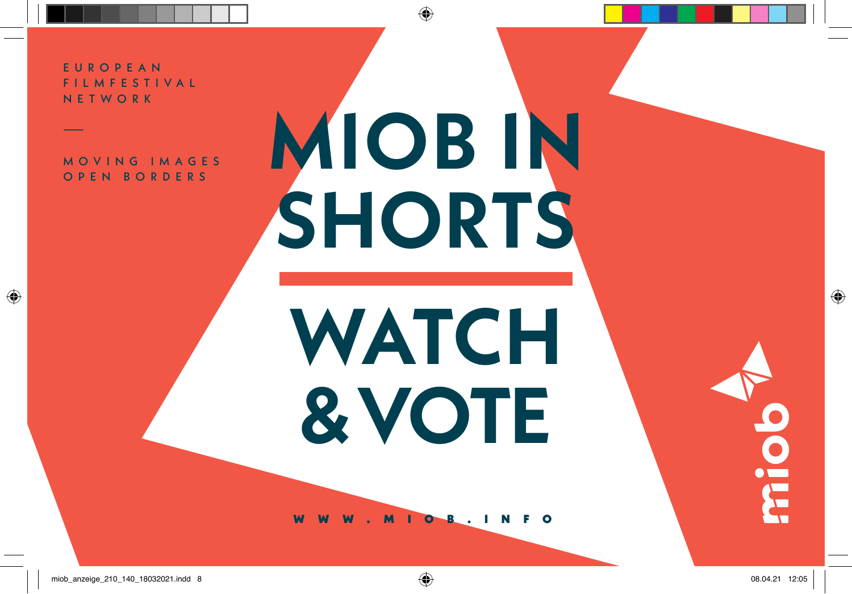EUROPEAN F I L M F E S T I V A L NETWORK

—

 $\bigoplus$ 

MOVING IMAGES OPEN BORDERS

## **MIOB IN SHORTS**

 $\bigcirc$ 

**WATCH & VOTE**

OB.INF

miob\_anzeige\_210\_140\_18032021.indd 8 08.04.21 12:05

dolm

 $\bigoplus$